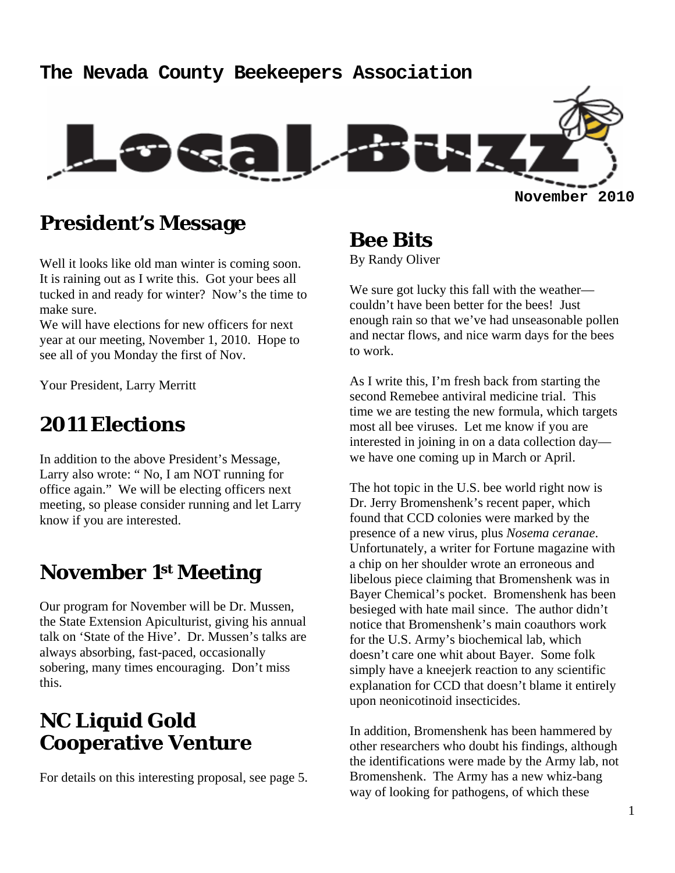# **The Nevada County Beekeepers Association November 2010**

#### **President's Message**

Well it looks like old man winter is coming soon. It is raining out as I write this. Got your bees all tucked in and ready for winter? Now's the time to make sure.

We will have elections for new officers for next year at our meeting, November 1, 2010. Hope to see all of you Monday the first of Nov.

Your President, Larry Merritt

#### **2011 Elections**

In addition to the above President's Message, Larry also wrote: " No, I am NOT running for office again." We will be electing officers next meeting, so please consider running and let Larry know if you are interested.

#### **November 1st Meeting**

Our program for November will be Dr. Mussen, the State Extension Apiculturist, giving his annual talk on 'State of the Hive'. Dr. Mussen's talks are always absorbing, fast-paced, occasionally sobering, many times encouraging. Don't miss this.

#### **NC Liquid Gold Cooperative Venture**

For details on this interesting proposal, see page 5.

**Bee Bits**  By Randy Oliver

We sure got lucky this fall with the weather couldn't have been better for the bees! Just enough rain so that we've had unseasonable pollen and nectar flows, and nice warm days for the bees to work.

As I write this, I'm fresh back from starting the second Remebee antiviral medicine trial. This time we are testing the new formula, which targets most all bee viruses. Let me know if you are interested in joining in on a data collection day we have one coming up in March or April.

The hot topic in the U.S. bee world right now is Dr. Jerry Bromenshenk's recent paper, which found that CCD colonies were marked by the presence of a new virus, plus *Nosema ceranae*. Unfortunately, a writer for Fortune magazine with a chip on her shoulder wrote an erroneous and libelous piece claiming that Bromenshenk was in Bayer Chemical's pocket. Bromenshenk has been besieged with hate mail since. The author didn't notice that Bromenshenk's main coauthors work for the U.S. Army's biochemical lab, which doesn't care one whit about Bayer. Some folk simply have a kneejerk reaction to any scientific explanation for CCD that doesn't blame it entirely upon neonicotinoid insecticides.

In addition, Bromenshenk has been hammered by other researchers who doubt his findings, although the identifications were made by the Army lab, not Bromenshenk. The Army has a new whiz-bang way of looking for pathogens, of which these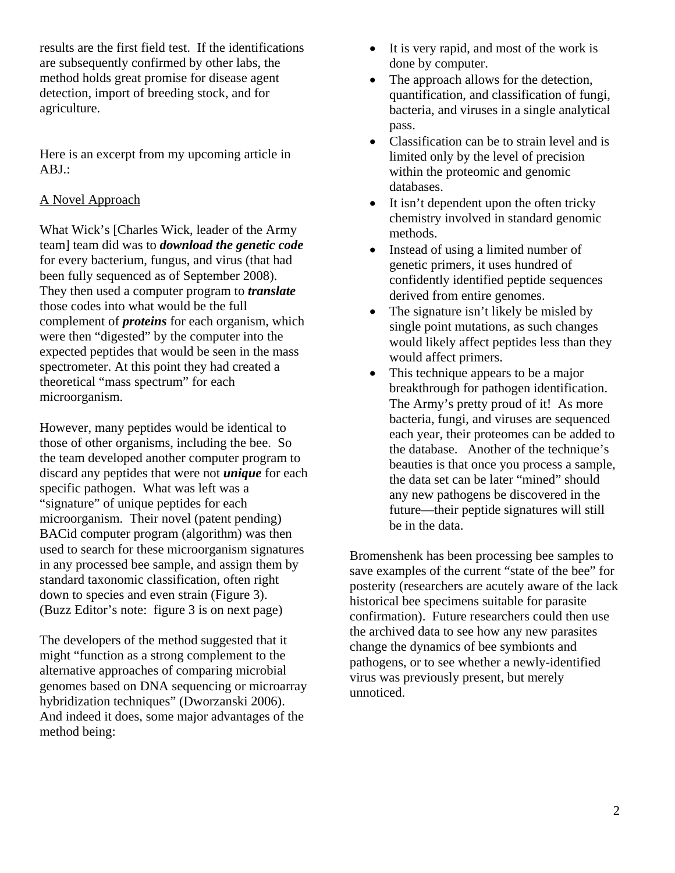results are the first field test. If the identifications are subsequently confirmed by other labs, the method holds great promise for disease agent detection, import of breeding stock, and for agriculture.

Here is an excerpt from my upcoming article in ABJ.:

#### A Novel Approach

What Wick's [Charles Wick, leader of the Army team] team did was to *download the genetic code* for every bacterium, fungus, and virus (that had been fully sequenced as of September 2008). They then used a computer program to *translate* those codes into what would be the full complement of *proteins* for each organism, which were then "digested" by the computer into the expected peptides that would be seen in the mass spectrometer. At this point they had created a theoretical "mass spectrum" for each microorganism.

However, many peptides would be identical to those of other organisms, including the bee. So the team developed another computer program to discard any peptides that were not *unique* for each specific pathogen. What was left was a "signature" of unique peptides for each microorganism. Their novel (patent pending) BACid computer program (algorithm) was then used to search for these microorganism signatures in any processed bee sample, and assign them by standard taxonomic classification, often right down to species and even strain (Figure 3). (Buzz Editor's note: figure 3 is on next page)

The developers of the method suggested that it might "function as a strong complement to the alternative approaches of comparing microbial genomes based on DNA sequencing or microarray hybridization techniques" (Dworzanski 2006). And indeed it does, some major advantages of the method being:

- It is very rapid, and most of the work is done by computer.
- The approach allows for the detection, quantification, and classification of fungi, bacteria, and viruses in a single analytical pass.
- Classification can be to strain level and is limited only by the level of precision within the proteomic and genomic databases.
- It isn't dependent upon the often tricky chemistry involved in standard genomic methods.
- Instead of using a limited number of genetic primers, it uses hundred of confidently identified peptide sequences derived from entire genomes.
- The signature isn't likely be misled by single point mutations, as such changes would likely affect peptides less than they would affect primers.
- This technique appears to be a major breakthrough for pathogen identification. The Army's pretty proud of it! As more bacteria, fungi, and viruses are sequenced each year, their proteomes can be added to the database. Another of the technique's beauties is that once you process a sample, the data set can be later "mined" should any new pathogens be discovered in the future—their peptide signatures will still be in the data.

Bromenshenk has been processing bee samples to save examples of the current "state of the bee" for posterity (researchers are acutely aware of the lack historical bee specimens suitable for parasite confirmation). Future researchers could then use the archived data to see how any new parasites change the dynamics of bee symbionts and pathogens, or to see whether a newly-identified virus was previously present, but merely unnoticed.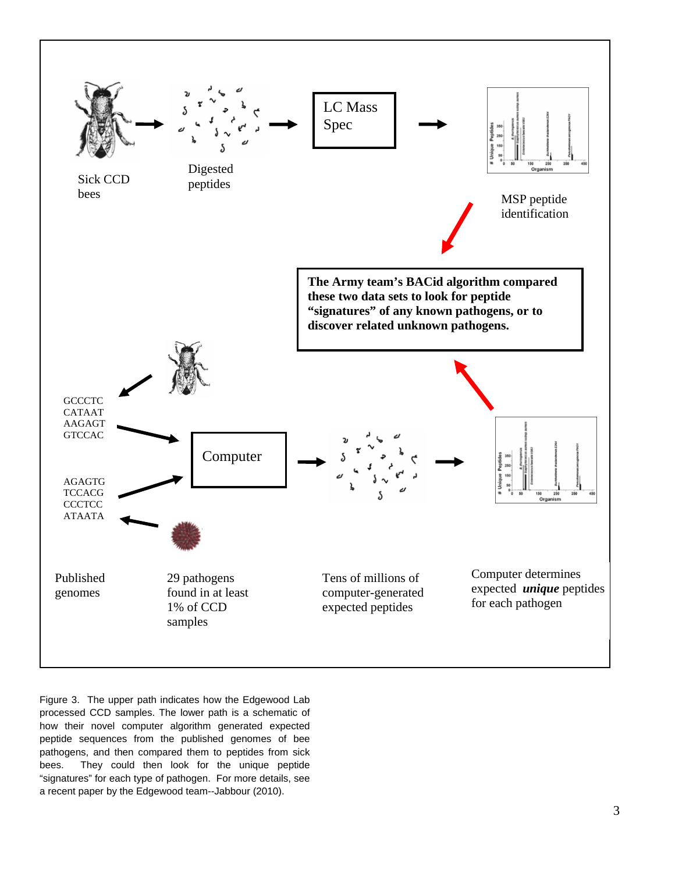

Figure 3. The upper path indicates how the Edgewood Lab processed CCD samples. The lower path is a schematic of how their novel computer algorithm generated expected peptide sequences from the published genomes of bee pathogens, and then compared them to peptides from sick bees. They could then look for the unique peptide "signatures" for each type of pathogen. For more details, see a recent paper by the Edgewood team--Jabbour (2010).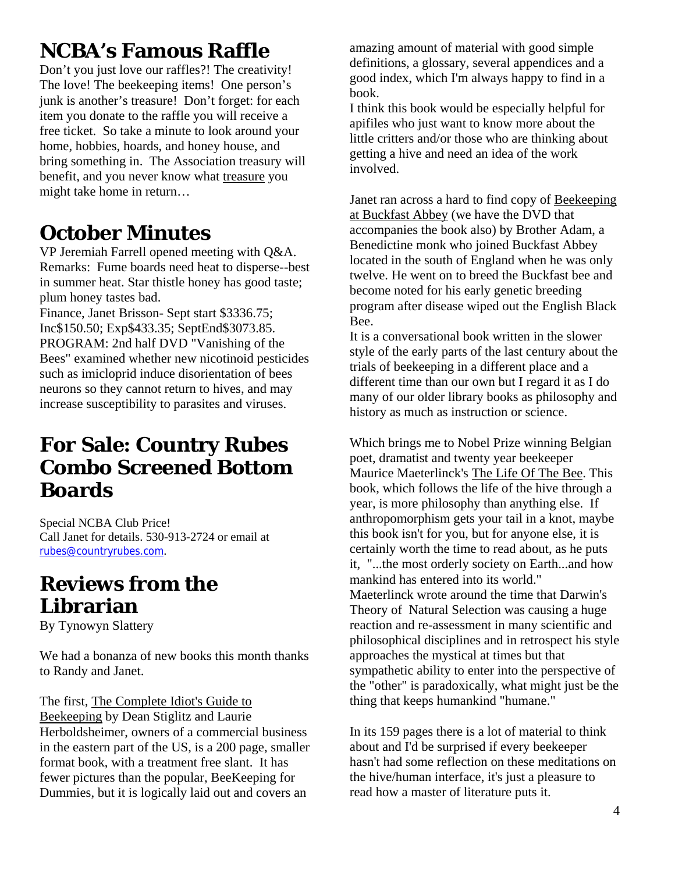## **NCBA's Famous Raffle**

Don't you just love our raffles?! The creativity! The love! The beekeeping items! One person's junk is another's treasure! Don't forget: for each item you donate to the raffle you will receive a free ticket. So take a minute to look around your home, hobbies, hoards, and honey house, and bring something in. The Association treasury will benefit, and you never know what treasure you might take home in return…

#### **October Minutes**

VP Jeremiah Farrell opened meeting with Q&A. Remarks: Fume boards need heat to disperse--best in summer heat. Star thistle honey has good taste; plum honey tastes bad.

Finance, Janet Brisson- Sept start \$3336.75; Inc\$150.50; Exp\$433.35; SeptEnd\$3073.85. PROGRAM: 2nd half DVD "Vanishing of the Bees" examined whether new nicotinoid pesticides such as imicloprid induce disorientation of bees neurons so they cannot return to hives, and may increase susceptibility to parasites and viruses.

#### **For Sale: Country Rubes Combo Screened Bottom Boards**

Special NCBA Club Price! Call Janet for details. 530-913-2724 or email at rubes@countryrubes.com.

### **Reviews from the Librarian**

By Tynowyn Slattery

We had a bonanza of new books this month thanks to Randy and Janet.

The first, The Complete Idiot's Guide to Beekeeping by Dean Stiglitz and Laurie Herboldsheimer, owners of a commercial business in the eastern part of the US, is a 200 page, smaller format book, with a treatment free slant. It has fewer pictures than the popular, BeeKeeping for Dummies, but it is logically laid out and covers an

amazing amount of material with good simple definitions, a glossary, several appendices and a good index, which I'm always happy to find in a book.

I think this book would be especially helpful for apifiles who just want to know more about the little critters and/or those who are thinking about getting a hive and need an idea of the work involved.

Janet ran across a hard to find copy of Beekeeping at Buckfast Abbey (we have the DVD that accompanies the book also) by Brother Adam, a Benedictine monk who joined Buckfast Abbey located in the south of England when he was only twelve. He went on to breed the Buckfast bee and become noted for his early genetic breeding program after disease wiped out the English Black Bee.

It is a conversational book written in the slower style of the early parts of the last century about the trials of beekeeping in a different place and a different time than our own but I regard it as I do many of our older library books as philosophy and history as much as instruction or science.

Which brings me to Nobel Prize winning Belgian poet, dramatist and twenty year beekeeper Maurice Maeterlinck's The Life Of The Bee. This book, which follows the life of the hive through a year, is more philosophy than anything else. If anthropomorphism gets your tail in a knot, maybe this book isn't for you, but for anyone else, it is certainly worth the time to read about, as he puts it, "...the most orderly society on Earth...and how mankind has entered into its world." Maeterlinck wrote around the time that Darwin's Theory of Natural Selection was causing a huge reaction and re-assessment in many scientific and philosophical disciplines and in retrospect his style approaches the mystical at times but that sympathetic ability to enter into the perspective of the "other" is paradoxically, what might just be the thing that keeps humankind "humane."

In its 159 pages there is a lot of material to think about and I'd be surprised if every beekeeper hasn't had some reflection on these meditations on the hive/human interface, it's just a pleasure to read how a master of literature puts it.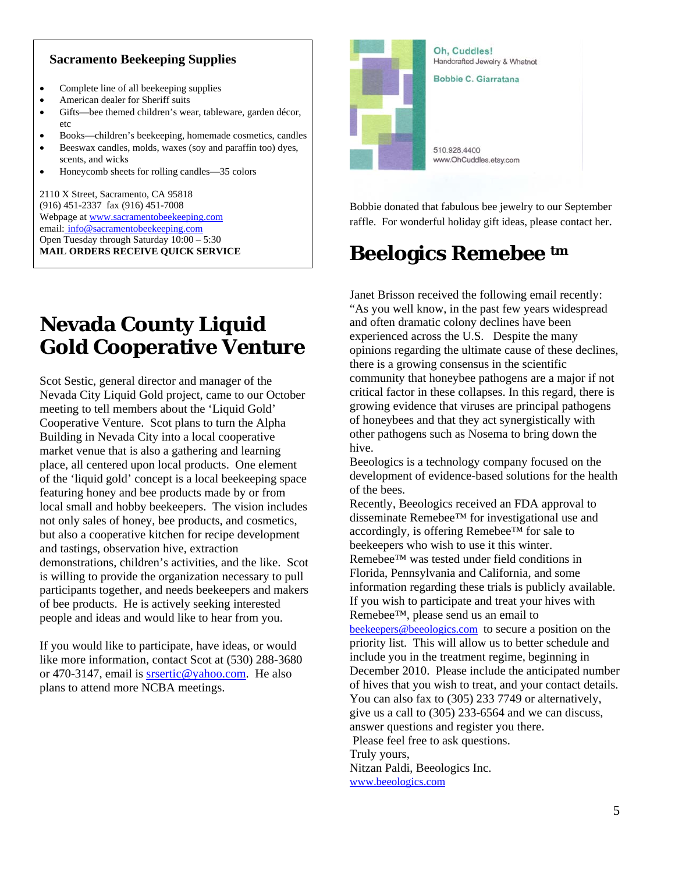#### **Sacramento Beekeeping Supplies**

- Complete line of all beekeeping supplies
- American dealer for Sheriff suits
- Gifts—bee themed children's wear, tableware, garden décor, etc
- Books—children's beekeeping, homemade cosmetics, candles
- Beeswax candles, molds, waxes (soy and paraffin too) dyes, scents, and wicks
- Honeycomb sheets for rolling candles—35 colors

2110 X Street, Sacramento, CA 95818 (916) 451-2337 fax (916) 451-7008 Webpage at www.sacramentobeekeeping.com email: info@sacramentobeekeeping.com Open Tuesday through Saturday 10:00 – 5:30 **MAIL ORDERS RECEIVE QUICK SERVICE** 

# Oh, Cuddles! Handcrafted Jewelry & Whatnot **Bobbie C. Giarratana** 510 928 4400 www.OhCuddles.etsy.com

Bobbie donated that fabulous bee jewelry to our September raffle. For wonderful holiday gift ideas, please contact her.

## **Beelogics Remebee tm**

Janet Brisson received the following email recently: "As you well know, in the past few years widespread and often dramatic colony declines have been experienced across the U.S. Despite the many opinions regarding the ultimate cause of these declines, there is a growing consensus in the scientific community that honeybee pathogens are a major if not critical factor in these collapses. In this regard, there is growing evidence that viruses are principal pathogens of honeybees and that they act synergistically with other pathogens such as Nosema to bring down the hive.

Beeologics is a technology company focused on the development of evidence-based solutions for the health of the bees.

Recently, Beeologics received an FDA approval to disseminate Remebee™ for investigational use and accordingly, is offering Remebee™ for sale to beekeepers who wish to use it this winter. Remebee™ was tested under field conditions in Florida, Pennsylvania and California, and some information regarding these trials is publicly available. If you wish to participate and treat your hives with Remebee™, please send us an email to beekeepers@beeologics.com to secure a position on the priority list. This will allow us to better schedule and include you in the treatment regime, beginning in December 2010. Please include the anticipated number of hives that you wish to treat, and your contact details. You can also fax to (305) 233 7749 or alternatively, give us a call to (305) 233-6564 and we can discuss, answer questions and register you there. Please feel free to ask questions. Truly yours, Nitzan Paldi, Beeologics Inc. www.beeologics.com

## **Nevada County Liquid Gold Cooperative Venture**

Scot Sestic, general director and manager of the Nevada City Liquid Gold project, came to our October meeting to tell members about the 'Liquid Gold' Cooperative Venture. Scot plans to turn the Alpha Building in Nevada City into a local cooperative market venue that is also a gathering and learning place, all centered upon local products. One element of the 'liquid gold' concept is a local beekeeping space featuring honey and bee products made by or from local small and hobby beekeepers. The vision includes not only sales of honey, bee products, and cosmetics, but also a cooperative kitchen for recipe development and tastings, observation hive, extraction demonstrations, children's activities, and the like. Scot is willing to provide the organization necessary to pull participants together, and needs beekeepers and makers of bee products. He is actively seeking interested people and ideas and would like to hear from you.

If you would like to participate, have ideas, or would like more information, contact Scot at  $(530)$  288-3680 or 470-3147, email is srsertic@yahoo.com. He also plans to attend more NCBA meetings.